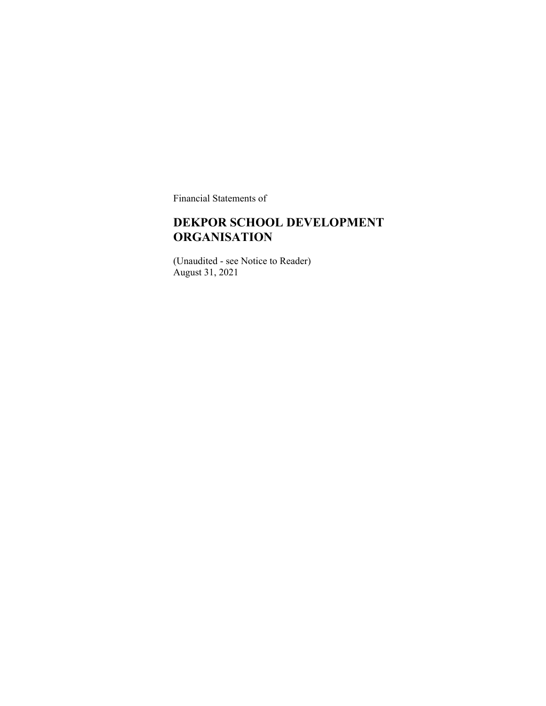Financial Statements of

#### **DEKPOR SCHOOL DEVELOPMENT ORGANISATION**

(Unaudited - see Notice to Reader) August 31, 2021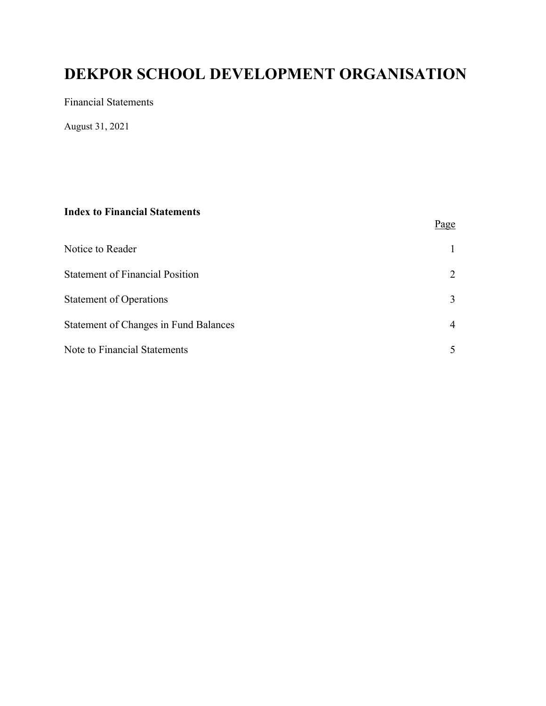Financial Statements

August 31, 2021

#### **Index to Financial Statements**

|                                              | Page          |
|----------------------------------------------|---------------|
| Notice to Reader                             |               |
| <b>Statement of Financial Position</b>       | 2             |
| <b>Statement of Operations</b>               | 3             |
| <b>Statement of Changes in Fund Balances</b> | 4             |
| Note to Financial Statements                 | $\mathcal{F}$ |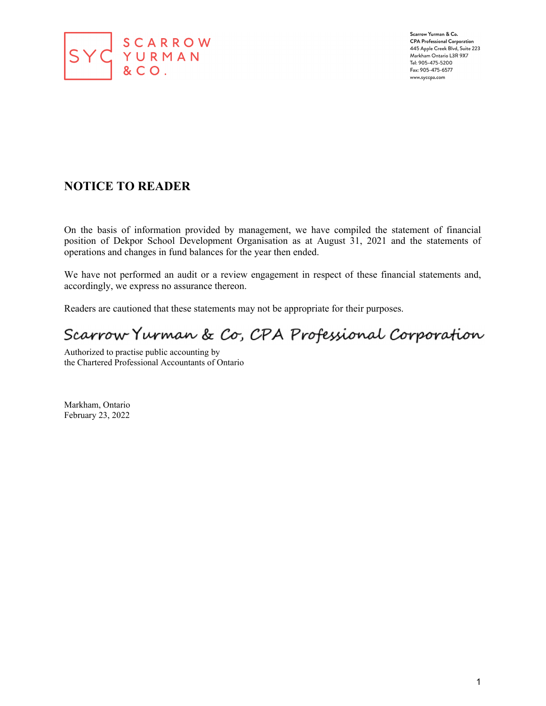

Scarrow Yurman & Co. **CPA Professional Corporation** 445 Apple Creek Blvd, Suite 223 Markham Ontario L3R 9X7 Tel: 905-475-5200 Fax: 905-475-6577 www.syccpa.com

#### **NOTICE TO READER**

On the basis of information provided by management, we have compiled the statement of financial position of Dekpor School Development Organisation as at August 31, 2021 and the statements of operations and changes in fund balances for the year then ended.

We have not performed an audit or a review engagement in respect of these financial statements and, accordingly, we express no assurance thereon.

Readers are cautioned that these statements may not be appropriate for their purposes.

# Scarrow Yurman & Co, CPA Professional Corporation

Authorized to practise public accounting by the Chartered Professional Accountants of Ontario

Markham, Ontario February 23, 2022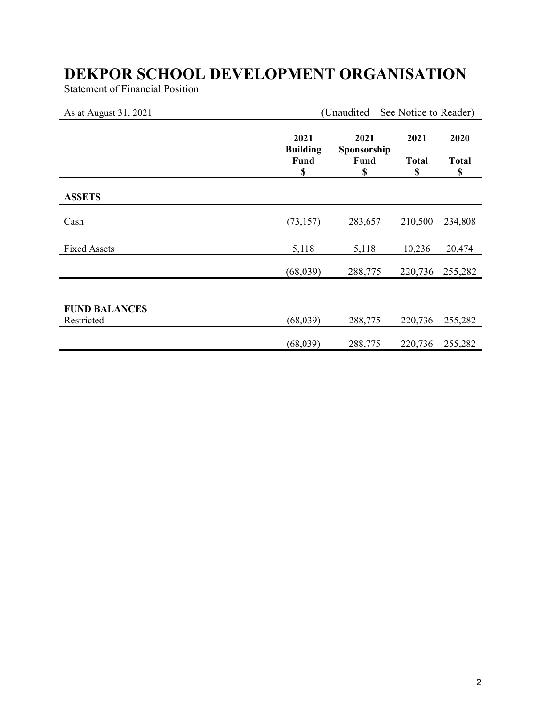Statement of Financial Position

| As at August 31, 2021              | (Unaudited – See Notice to Reader)           |                                          |                            |                            |
|------------------------------------|----------------------------------------------|------------------------------------------|----------------------------|----------------------------|
|                                    | 2021<br><b>Building</b><br><b>Fund</b><br>\$ | 2021<br>Sponsorship<br><b>Fund</b><br>\$ | 2021<br><b>Total</b><br>\$ | 2020<br><b>Total</b><br>\$ |
| <b>ASSETS</b>                      |                                              |                                          |                            |                            |
| Cash                               | (73, 157)                                    | 283,657                                  | 210,500                    | 234,808                    |
| <b>Fixed Assets</b>                | 5,118                                        | 5,118                                    | 10,236                     | 20,474                     |
|                                    | (68,039)                                     | 288,775                                  | 220,736                    | 255,282                    |
|                                    |                                              |                                          |                            |                            |
| <b>FUND BALANCES</b><br>Restricted | (68, 039)                                    | 288,775                                  | 220,736                    | 255,282                    |
|                                    | (68, 039)                                    | 288,775                                  | 220,736                    | 255,282                    |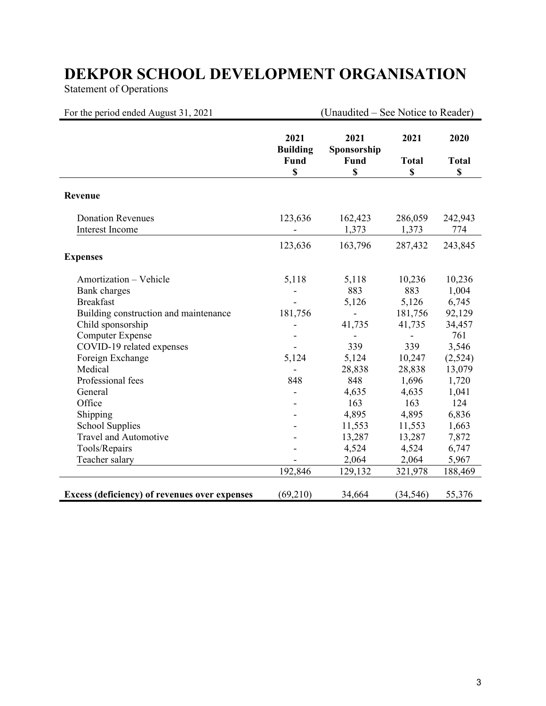Statement of Operations

| For the period ended August 31, 2021                                                  |                                       | (Unaudited – See Notice to Reader) |                            |                            |
|---------------------------------------------------------------------------------------|---------------------------------------|------------------------------------|----------------------------|----------------------------|
|                                                                                       | 2021<br><b>Building</b><br>Fund<br>\$ | 2021<br>Sponsorship<br>Fund<br>\$  | 2021<br><b>Total</b><br>\$ | 2020<br><b>Total</b><br>\$ |
| Revenue                                                                               |                                       |                                    |                            |                            |
| <b>Donation Revenues</b><br><b>Interest Income</b>                                    | 123,636                               | 162,423<br>1,373                   | 286,059<br>1,373           | 242,943<br>774             |
| <b>Expenses</b>                                                                       | 123,636                               | 163,796                            | 287,432                    | 243,845                    |
| Amortization - Vehicle<br>Bank charges<br><b>Breakfast</b>                            | 5,118                                 | 5,118<br>883<br>5,126              | 10,236<br>883<br>5,126     | 10,236<br>1,004<br>6,745   |
| Building construction and maintenance<br>Child sponsorship<br><b>Computer Expense</b> | 181,756                               | 41,735<br>$\overline{\phantom{a}}$ | 181,756<br>41,735          | 92,129<br>34,457<br>761    |
| COVID-19 related expenses<br>Foreign Exchange<br>Medical                              | 5,124                                 | 339<br>5,124<br>28,838             | 339<br>10,247<br>28,838    | 3,546<br>(2,524)<br>13,079 |
| Professional fees<br>General<br>Office                                                | 848                                   | 848<br>4,635<br>163                | 1,696<br>4,635<br>163      | 1,720<br>1,041<br>124      |
| Shipping<br><b>School Supplies</b><br><b>Travel and Automotive</b>                    |                                       | 4,895<br>11,553<br>13,287          | 4,895<br>11,553<br>13,287  | 6,836<br>1,663<br>7,872    |
| Tools/Repairs<br>Teacher salary                                                       | 192,846                               | 4,524<br>2,064<br>129,132          | 4,524<br>2,064<br>321,978  | 6,747<br>5,967<br>188,469  |
| Excess (deficiency) of revenues over expenses                                         | (69,210)                              | 34,664                             | (34, 546)                  | 55,376                     |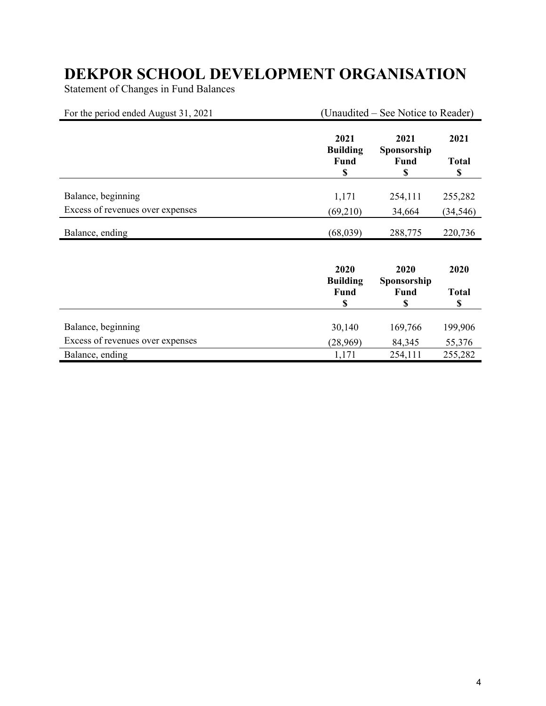Statement of Changes in Fund Balances

| For the period ended August 31, 2021 | (Unaudited – See Notice to Reader)    |                                   |                            |
|--------------------------------------|---------------------------------------|-----------------------------------|----------------------------|
|                                      | 2021<br><b>Building</b><br>Fund<br>\$ | 2021<br>Sponsorship<br>Fund<br>\$ | 2021<br><b>Total</b><br>\$ |
| Balance, beginning                   | 1,171                                 | 254,111                           | 255,282                    |
| Excess of revenues over expenses     | (69,210)                              | 34,664                            | (34, 546)                  |
| Balance, ending                      | (68,039)                              | 288,775                           | 220,736                    |
|                                      | 2020<br><b>Building</b><br>Fund<br>\$ | 2020<br>Sponsorship<br>Fund<br>\$ | 2020<br><b>Total</b><br>\$ |
|                                      |                                       |                                   |                            |
| Balance, beginning                   | 30,140                                | 169,766                           | 199,906                    |
| Excess of revenues over expenses     | (28,969)                              | 84,345                            | 55,376                     |
| Balance, ending                      | 1,171                                 | 254,111                           | 255,282                    |